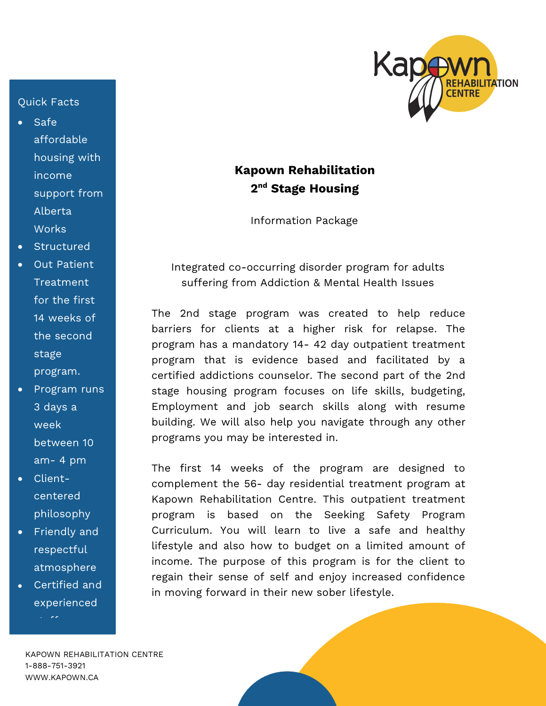## Quick Facts

- Safe affordable housing with income support from Alberta **Works**
- **Structured**
- **Out Patient** Treatment for the first 14 weeks of the second stage program.
- Program runs 3 days a week between 10 am- 4 pm
- Clientcentered philosophy
- Friendly and respectful atmosphere
- Certified and experienced

staff



## **Kapown Rehabilitation 2nd Stage Housing**

Information Package

Integrated co-occurring disorder program for adults suffering from Addiction & Mental Health Issues

The 2nd stage program was created to help reduce barriers for clients at a higher risk for relapse. The program has a mandatory 14- 42 day outpatient treatment program that is evidence based and facilitated by a certified addictions counselor. The second part of the 2nd stage housing program focuses on life skills, budgeting, Employment and job search skills along with resume building. We will also help you navigate through any other programs you may be interested in.

The first 14 weeks of the program are designed to complement the 56- day residential treatment program at Kapown Rehabilitation Centre. This outpatient treatment program is based on the Seeking Safety Program Curriculum. You will learn to live a safe and healthy lifestyle and also how to budget on a limited amount of income. The purpose of this program is for the client to regain their sense of self and enjoy increased confidence in moving forward in their new sober lifestyle.

KAPOWN REHABILITATION CENTRE 1-888-751-3921 WWW.KAPOWN.CA